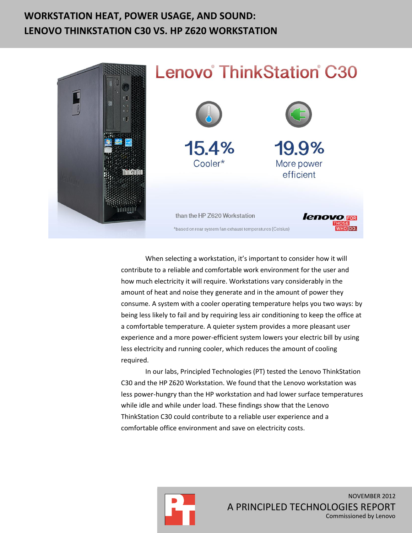# **WORKSTATION HEAT, POWER USAGE, AND SOUND: LENOVO THINKSTATION C30 VS. HP Z620 WORKSTATION**



When selecting a workstation, it's important to consider how it will contribute to a reliable and comfortable work environment for the user and how much electricity it will require. Workstations vary considerably in the amount of heat and noise they generate and in the amount of power they consume. A system with a cooler operating temperature helps you two ways: by being less likely to fail and by requiring less air conditioning to keep the office at a comfortable temperature. A quieter system provides a more pleasant user experience and a more power-efficient system lowers your electric bill by using less electricity and running cooler, which reduces the amount of cooling required.

In our labs, Principled Technologies (PT) tested the Lenovo ThinkStation C30 and the HP Z620 Workstation. We found that the Lenovo workstation was less power-hungry than the HP workstation and had lower surface temperatures while idle and while under load. These findings show that the Lenovo ThinkStation C30 could contribute to a reliable user experience and a comfortable office environment and save on electricity costs.

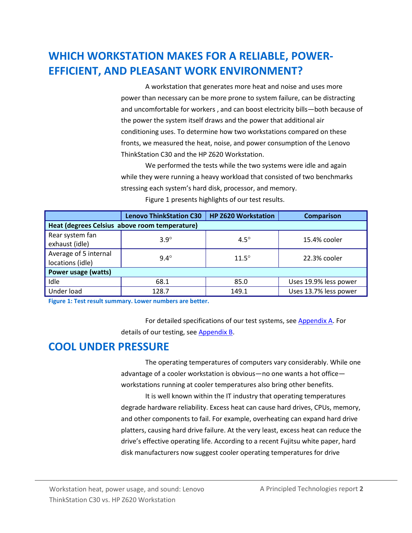# **WHICH WORKSTATION MAKES FOR A RELIABLE, POWER-EFFICIENT, AND PLEASANT WORK ENVIRONMENT?**

A workstation that generates more heat and noise and uses more power than necessary can be more prone to system failure, can be distracting and uncomfortable for workers , and can boost electricity bills—both because of the power the system itself draws and the power that additional air conditioning uses. To determine how two workstations compared on these fronts, we measured the heat, noise, and power consumption of the Lenovo ThinkStation C30 and the HP Z620 Workstation.

We performed the tests while the two systems were idle and again while they were running a heavy workload that consisted of two benchmarks stressing each system's hard disk, processor, and memory. Figure 1 presents highlights of our test results.

|                                               | <b>Lenovo ThinkStation C30</b> | <b>HP Z620 Workstation</b> | <b>Comparison</b>     |  |  |
|-----------------------------------------------|--------------------------------|----------------------------|-----------------------|--|--|
| Heat (degrees Celsius above room temperature) |                                |                            |                       |  |  |
| Rear system fan<br>exhaust (idle)             | $3.9^\circ$                    | $4.5^\circ$                | 15.4% cooler          |  |  |
| Average of 5 internal<br>locations (idle)     | $9.4^\circ$                    | $11.5^\circ$               | 22.3% cooler          |  |  |
| Power usage (watts)                           |                                |                            |                       |  |  |
| Idle                                          | 68.1                           | 85.0                       | Uses 19.9% less power |  |  |
| Under load                                    | 128.7                          | 149.1                      | Uses 13.7% less power |  |  |

**Figure 1: Test result summary. Lower numbers are better.**

For detailed specifications of our test systems, see [Appendix A.](#page-5-0) For details of our testing, see [Appendix B.](#page-8-0)

## **COOL UNDER PRESSURE**

The operating temperatures of computers vary considerably. While one advantage of a cooler workstation is obvious—no one wants a hot office workstations running at cooler temperatures also bring other benefits.

It is well known within the IT industry that operating temperatures degrade hardware reliability. Excess heat can cause hard drives, CPUs, memory, and other components to fail. For example, overheating can expand hard drive platters, causing hard drive failure. At the very least, excess heat can reduce the drive's effective operating life. According to a recent Fujitsu white paper, hard disk manufacturers now suggest cooler operating temperatures for drive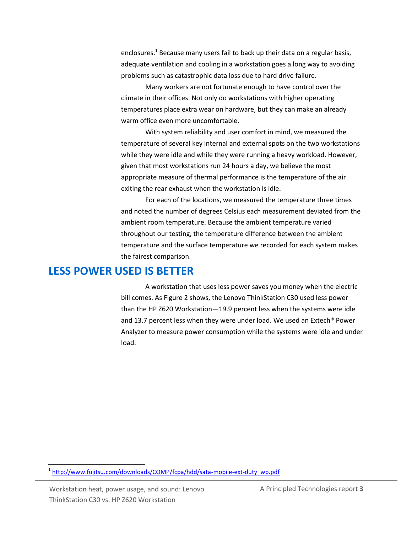enclosures.<sup>1</sup> Because many users fail to back up their data on a regular basis, adequate ventilation and cooling in a workstation goes a long way to avoiding problems such as catastrophic data loss due to hard drive failure.

Many workers are not fortunate enough to have control over the climate in their offices. Not only do workstations with higher operating temperatures place extra wear on hardware, but they can make an already warm office even more uncomfortable.

With system reliability and user comfort in mind, we measured the temperature of several key internal and external spots on the two workstations while they were idle and while they were running a heavy workload. However, given that most workstations run 24 hours a day, we believe the most appropriate measure of thermal performance is the temperature of the air exiting the rear exhaust when the workstation is idle.

For each of the locations, we measured the temperature three times and noted the number of degrees Celsius each measurement deviated from the ambient room temperature. Because the ambient temperature varied throughout our testing, the temperature difference between the ambient temperature and the surface temperature we recorded for each system makes the fairest comparison.

### **LESS POWER USED IS BETTER**

A workstation that uses less power saves you money when the electric bill comes. As Figure 2 shows, the Lenovo ThinkStation C30 used less power than the HP Z620 Workstation—19.9 percent less when the systems were idle and 13.7 percent less when they were under load. We used an Extech® Power Analyzer to measure power consumption while the systems were idle and under load.

<sup>&</sup>lt;sup>1</sup> [http://www.fujitsu.com/downloads/COMP/fcpa/hdd/sata-mobile-ext-duty\\_wp.pdf](http://www.fujitsu.com/downloads/COMP/fcpa/hdd/sata-mobile-ext-duty_wp.pdf)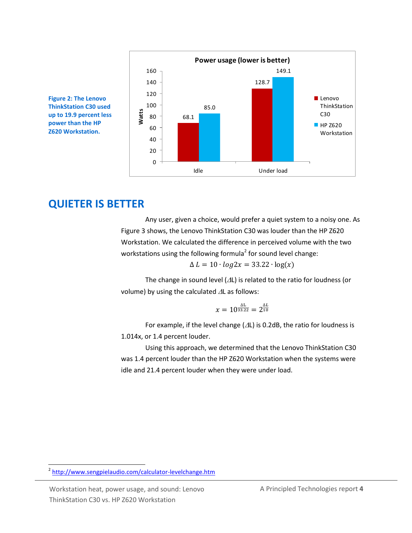

**Figure 2: The Lenovo ThinkStation C30 used up to 19.9 percent less power than the HP Z620 Workstation.**

## **QUIETER IS BETTER**

Any user, given a choice, would prefer a quiet system to a noisy one. As Figure 3 shows, the Lenovo ThinkStation C30 was louder than the HP Z620 Workstation. We calculated the difference in perceived volume with the two workstations using the following formula<sup>2</sup> for sound level change:

 $\Delta L = 10 \cdot \log 2x = 33.22 \cdot \log(x)$ 

The change in sound level  $(\Delta L)$  is related to the ratio for loudness (or volume) by using the calculated  $\Delta L$  as follows:

$$
x=10^{\frac{\Delta L}{33.22}}=2^{\frac{\Delta L}{10}}
$$

For example, if the level change ( $\Delta L$ ) is 0.2dB, the ratio for loudness is 1.014x, or 1.4 percent louder.

Using this approach, we determined that the Lenovo ThinkStation C30 was 1.4 percent louder than the HP Z620 Workstation when the systems were idle and 21.4 percent louder when they were under load.

 $\overline{a}$ 

<sup>&</sup>lt;sup>2</sup> <http://www.sengpielaudio.com/calculator-levelchange.htm>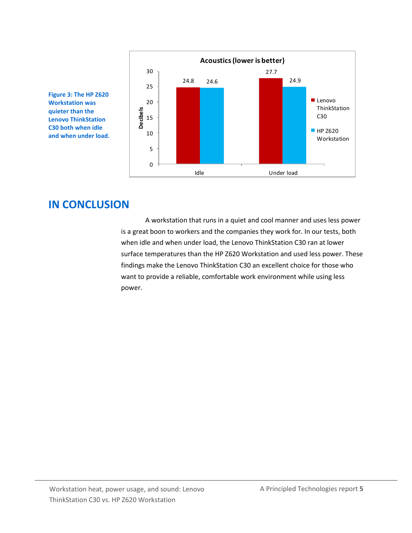

**Figure 3: The HP Z620 Workstation was quieter than the Lenovo ThinkStation C30 both when idle and when under load.**

## **IN CONCLUSION**

A workstation that runs in a quiet and cool manner and uses less power is a great boon to workers and the companies they work for. In our tests, both when idle and when under load, the Lenovo ThinkStation C30 ran at lower surface temperatures than the HP Z620 Workstation and used less power. These findings make the Lenovo ThinkStation C30 an excellent choice for those who want to provide a reliable, comfortable work environment while using less power.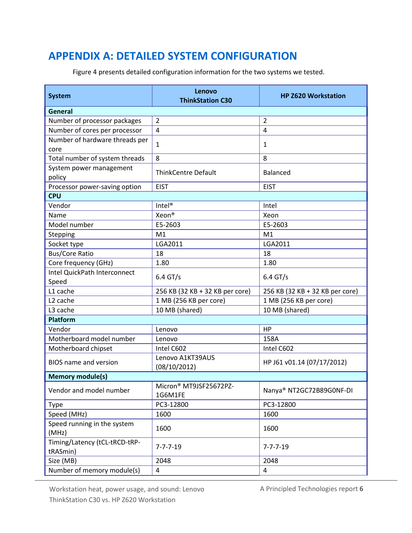# <span id="page-5-0"></span>**APPENDIX A: DETAILED SYSTEM CONFIGURATION**

Figure 4 presents detailed configuration information for the two systems we tested.

| <b>System</b>                             | Lenovo<br><b>ThinkStation C30</b> | <b>HP Z620 Workstation</b>      |  |  |  |
|-------------------------------------------|-----------------------------------|---------------------------------|--|--|--|
| <b>General</b>                            |                                   |                                 |  |  |  |
| Number of processor packages              | $\overline{2}$                    | $\overline{2}$                  |  |  |  |
| Number of cores per processor             | $\overline{4}$                    | $\overline{4}$                  |  |  |  |
| Number of hardware threads per<br>core    | $\mathbf{1}$                      | $\mathbf{1}$                    |  |  |  |
| Total number of system threads            | 8                                 | 8                               |  |  |  |
| System power management<br>policy         | <b>ThinkCentre Default</b>        | <b>Balanced</b>                 |  |  |  |
| Processor power-saving option             | <b>EIST</b>                       | <b>EIST</b>                     |  |  |  |
| <b>CPU</b>                                |                                   |                                 |  |  |  |
| Vendor                                    | Intel <sup>®</sup>                | Intel                           |  |  |  |
| Name                                      | Xeon <sup>®</sup>                 | Xeon                            |  |  |  |
| Model number                              | E5-2603                           | E5-2603                         |  |  |  |
| Stepping                                  | M1                                | M1                              |  |  |  |
| Socket type                               | LGA2011                           | LGA2011                         |  |  |  |
| <b>Bus/Core Ratio</b>                     | 18                                | 18                              |  |  |  |
| Core frequency (GHz)                      | 1.80                              | 1.80                            |  |  |  |
| Intel QuickPath Interconnect<br>Speed     | 6.4 GT/s                          | $6.4$ GT/s                      |  |  |  |
| L1 cache                                  | 256 KB (32 KB + 32 KB per core)   | 256 KB (32 KB + 32 KB per core) |  |  |  |
| L <sub>2</sub> cache                      | 1 MB (256 KB per core)            | 1 MB (256 KB per core)          |  |  |  |
| L3 cache                                  | 10 MB (shared)                    | 10 MB (shared)                  |  |  |  |
| Platform                                  |                                   |                                 |  |  |  |
| Vendor                                    | Lenovo                            | HP                              |  |  |  |
| Motherboard model number                  | Lenovo                            | 158A                            |  |  |  |
| Motherboard chipset                       | Intel C602                        | Intel C602                      |  |  |  |
| <b>BIOS</b> name and version              | Lenovo A1KT39AUS<br>(08/10/2012)  | HP J61 v01.14 (07/17/2012)      |  |  |  |
| <b>Memory module(s)</b>                   |                                   |                                 |  |  |  |
| Vendor and model number                   | Micron® MT9JSF25672PZ-<br>1G6M1FE | Nanya® NT2GC72B89G0NF-DI        |  |  |  |
| <b>Type</b>                               | PC3-12800                         | PC3-12800                       |  |  |  |
| Speed (MHz)                               | 1600                              | 1600                            |  |  |  |
| Speed running in the system<br>(MHz)      | 1600                              | 1600                            |  |  |  |
| Timing/Latency (tCL-tRCD-tRP-<br>tRASmin) | $7 - 7 - 7 - 19$                  | $7 - 7 - 7 - 19$                |  |  |  |
| Size (MB)                                 | 2048                              | 2048                            |  |  |  |
| Number of memory module(s)                | $\sqrt{4}$                        | $\overline{4}$                  |  |  |  |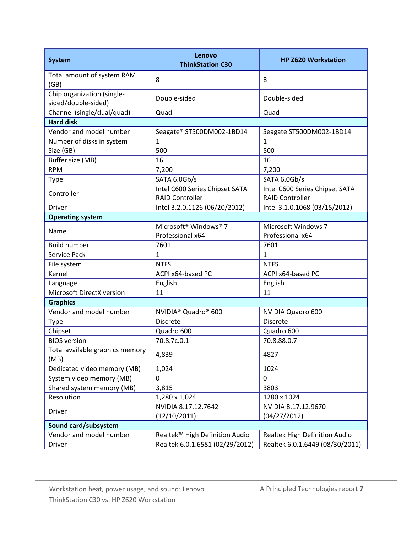| <b>System</b>                                     | Lenovo<br><b>ThinkStation C30</b>             | <b>HP Z620 Workstation</b>      |  |  |
|---------------------------------------------------|-----------------------------------------------|---------------------------------|--|--|
| Total amount of system RAM<br>(GB)                | 8                                             | 8                               |  |  |
| Chip organization (single-<br>sided/double-sided) | Double-sided                                  | Double-sided                    |  |  |
| Channel (single/dual/quad)                        | Quad                                          | Quad                            |  |  |
| <b>Hard disk</b>                                  |                                               |                                 |  |  |
| Vendor and model number                           | Seagate® ST500DM002-1BD14                     | Seagate ST500DM002-1BD14        |  |  |
| Number of disks in system                         | $\mathbf{1}$                                  | $\overline{1}$                  |  |  |
| Size (GB)                                         | 500                                           | 500                             |  |  |
| Buffer size (MB)                                  | 16                                            | 16                              |  |  |
| <b>RPM</b>                                        | 7,200                                         | 7,200                           |  |  |
| Type                                              | SATA 6.0Gb/s                                  | SATA 6.0Gb/s                    |  |  |
|                                                   | Intel C600 Series Chipset SATA                | Intel C600 Series Chipset SATA  |  |  |
| Controller                                        | <b>RAID Controller</b>                        | <b>RAID Controller</b>          |  |  |
| <b>Driver</b>                                     | Intel 3.2.0.1126 (06/20/2012)                 | Intel 3.1.0.1068 (03/15/2012)   |  |  |
| <b>Operating system</b>                           |                                               |                                 |  |  |
| Name                                              | Microsoft <sup>®</sup> Windows <sup>®</sup> 7 | Microsoft Windows 7             |  |  |
|                                                   | Professional x64                              | Professional x64                |  |  |
| <b>Build number</b>                               | 7601                                          | 7601                            |  |  |
| Service Pack                                      | 1                                             | $\mathbf{1}$                    |  |  |
| File system                                       | <b>NTFS</b>                                   | <b>NTFS</b>                     |  |  |
| Kernel                                            | ACPI x64-based PC                             | ACPI x64-based PC               |  |  |
| Language                                          | English                                       | English                         |  |  |
| Microsoft DirectX version                         | 11                                            | 11                              |  |  |
| <b>Graphics</b>                                   |                                               |                                 |  |  |
| Vendor and model number                           | NVIDIA <sup>®</sup> Quadro <sup>®</sup> 600   | NVIDIA Quadro 600               |  |  |
| Type                                              | <b>Discrete</b>                               | <b>Discrete</b>                 |  |  |
| Chipset                                           | Quadro 600                                    | Quadro 600                      |  |  |
| <b>BIOS</b> version                               | 70.8.7c.0.1                                   | 70.8.88.0.7                     |  |  |
| Total available graphics memory<br>(MB)           | 4,839                                         | 4827                            |  |  |
| Dedicated video memory (MB)                       | 1,024                                         | 1024                            |  |  |
| System video memory (MB)                          | 0                                             | $\overline{0}$                  |  |  |
| Shared system memory (MB)                         | 3,815                                         | 3803                            |  |  |
| Resolution                                        | 1,280 x 1,024                                 | 1280 x 1024                     |  |  |
|                                                   | NVIDIA 8.17.12.7642                           | NVIDIA 8.17.12.9670             |  |  |
| <b>Driver</b>                                     | (12/10/2011)                                  | (04/27/2012)                    |  |  |
| Sound card/subsystem                              |                                               |                                 |  |  |
| Vendor and model number                           | Realtek™ High Definition Audio                | Realtek High Definition Audio   |  |  |
| <b>Driver</b>                                     | Realtek 6.0.1.6581 (02/29/2012)               | Realtek 6.0.1.6449 (08/30/2011) |  |  |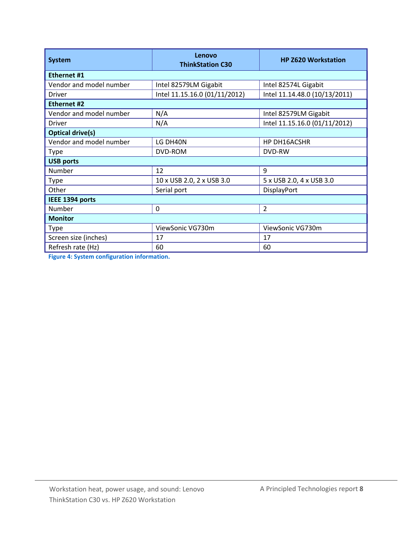| <b>System</b>           | Lenovo<br><b>ThinkStation C30</b> | <b>HP Z620 Workstation</b>    |  |  |  |
|-------------------------|-----------------------------------|-------------------------------|--|--|--|
| <b>Ethernet #1</b>      |                                   |                               |  |  |  |
| Vendor and model number | Intel 82579LM Gigabit             | Intel 82574L Gigabit          |  |  |  |
| Driver                  | Intel 11.15.16.0 (01/11/2012)     | Intel 11.14.48.0 (10/13/2011) |  |  |  |
| Ethernet #2             |                                   |                               |  |  |  |
| Vendor and model number | N/A                               | Intel 82579LM Gigabit         |  |  |  |
| Driver                  | N/A                               | Intel 11.15.16.0 (01/11/2012) |  |  |  |
| <b>Optical drive(s)</b> |                                   |                               |  |  |  |
| Vendor and model number | LG DH40N                          | HP DH16ACSHR                  |  |  |  |
| <b>Type</b>             | DVD-ROM                           | DVD-RW                        |  |  |  |
| <b>USB ports</b>        |                                   |                               |  |  |  |
| Number                  | 12                                | 9                             |  |  |  |
| <b>Type</b>             | 10 x USB 2.0, 2 x USB 3.0         | 5 x USB 2.0, 4 x USB 3.0      |  |  |  |
| Other                   | Serial port                       | DisplayPort                   |  |  |  |
| IEEE 1394 ports         |                                   |                               |  |  |  |
| Number                  | 0                                 | $\overline{2}$                |  |  |  |
| <b>Monitor</b>          |                                   |                               |  |  |  |
| <b>Type</b>             | ViewSonic VG730m                  | ViewSonic VG730m              |  |  |  |
| Screen size (inches)    | 17                                | 17                            |  |  |  |
| Refresh rate (Hz)       | 60                                | 60                            |  |  |  |

**Figure 4: System configuration information.**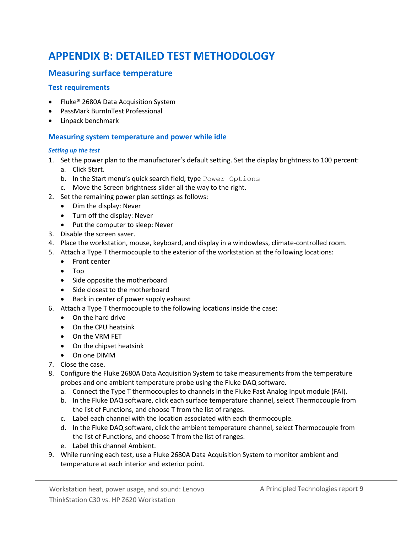# <span id="page-8-0"></span>**APPENDIX B: DETAILED TEST METHODOLOGY**

### **Measuring surface temperature**

#### **Test requirements**

- Fluke<sup>®</sup> 2680A Data Acquisition System
- PassMark BurnInTest Professional
- Linpack benchmark

#### **Measuring system temperature and power while idle**

#### *Setting up the test*

- 1. Set the power plan to the manufacturer's default setting. Set the display brightness to 100 percent:
	- a. Click Start.
	- b. In the Start menu's quick search field, type Power Options
	- c. Move the Screen brightness slider all the way to the right.
- 2. Set the remaining power plan settings as follows:
	- Dim the display: Never
	- Turn off the display: Never
	- Put the computer to sleep: Never
- 3. Disable the screen saver.
- 4. Place the workstation, mouse, keyboard, and display in a windowless, climate-controlled room.
- 5. Attach a Type T thermocouple to the exterior of the workstation at the following locations:
	- Front center
	- Top
	- Side opposite the motherboard
	- Side closest to the motherboard
	- Back in center of power supply exhaust
- 6. Attach a Type T thermocouple to the following locations inside the case:
	- On the hard drive
	- On the CPU heatsink
	- On the VRM FET
	- On the chipset heatsink
	- On one DIMM
- 7. Close the case.
- 8. Configure the Fluke 2680A Data Acquisition System to take measurements from the temperature probes and one ambient temperature probe using the Fluke DAQ software.
	- a. Connect the Type T thermocouples to channels in the Fluke Fast Analog Input module (FAI).
	- b. In the Fluke DAQ software, click each surface temperature channel, select Thermocouple from the list of Functions, and choose T from the list of ranges.
	- c. Label each channel with the location associated with each thermocouple.
	- d. In the Fluke DAQ software, click the ambient temperature channel, select Thermocouple from the list of Functions, and choose T from the list of ranges.
	- e. Label this channel Ambient.
- 9. While running each test, use a Fluke 2680A Data Acquisition System to monitor ambient and temperature at each interior and exterior point.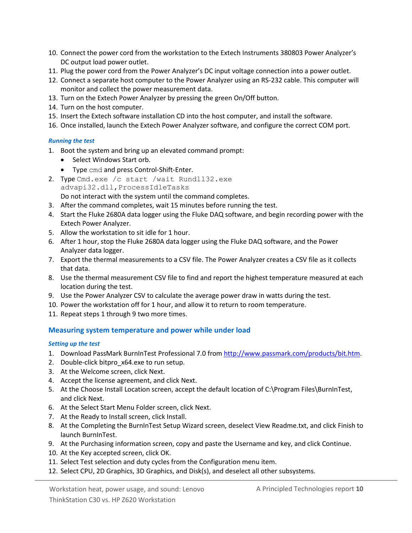- 10. Connect the power cord from the workstation to the Extech Instruments 380803 Power Analyzer's DC output load power outlet.
- 11. Plug the power cord from the Power Analyzer's DC input voltage connection into a power outlet.
- 12. Connect a separate host computer to the Power Analyzer using an RS-232 cable. This computer will monitor and collect the power measurement data.
- 13. Turn on the Extech Power Analyzer by pressing the green On/Off button.
- 14. Turn on the host computer.
- 15. Insert the Extech software installation CD into the host computer, and install the software.
- 16. Once installed, launch the Extech Power Analyzer software, and configure the correct COM port.

#### *Running the test*

- 1. Boot the system and bring up an elevated command prompt:
	- Select Windows Start orb.
	- Type cmd and press Control-Shift-Enter.
- 2. Type Cmd.exe /c start /wait Rundll32.exe advapi32.dll,ProcessIdleTasks Do not interact with the system until the command completes.
- 3. After the command completes, wait 15 minutes before running the test.
- 4. Start the Fluke 2680A data logger using the Fluke DAQ software, and begin recording power with the Extech Power Analyzer.
- 5. Allow the workstation to sit idle for 1 hour.
- 6. After 1 hour, stop the Fluke 2680A data logger using the Fluke DAQ software, and the Power Analyzer data logger.
- 7. Export the thermal measurements to a CSV file. The Power Analyzer creates a CSV file as it collects that data.
- 8. Use the thermal measurement CSV file to find and report the highest temperature measured at each location during the test.
- 9. Use the Power Analyzer CSV to calculate the average power draw in watts during the test.
- 10. Power the workstation off for 1 hour, and allow it to return to room temperature.
- 11. Repeat steps 1 through 9 two more times.

#### **Measuring system temperature and power while under load**

#### *Setting up the test*

- 1. Download PassMark BurnInTest Professional 7.0 fro[m http://www.passmark.com/products/bit.htm.](http://www.passmark.com/products/bit.htm)
- 2. Double-click bitpro\_x64.exe to run setup.
- 3. At the Welcome screen, click Next.
- 4. Accept the license agreement, and click Next.
- 5. At the Choose Install Location screen, accept the default location of C:\Program Files\BurnInTest, and click Next.
- 6. At the Select Start Menu Folder screen, click Next.
- 7. At the Ready to Install screen, click Install.
- 8. At the Completing the BurnInTest Setup Wizard screen, deselect View Readme.txt, and click Finish to launch BurnInTest.
- 9. At the Purchasing information screen, copy and paste the Username and key, and click Continue.
- 10. At the Key accepted screen, click OK.
- 11. Select Test selection and duty cycles from the Configuration menu item.
- 12. Select CPU, 2D Graphics, 3D Graphics, and Disk(s), and deselect all other subsystems.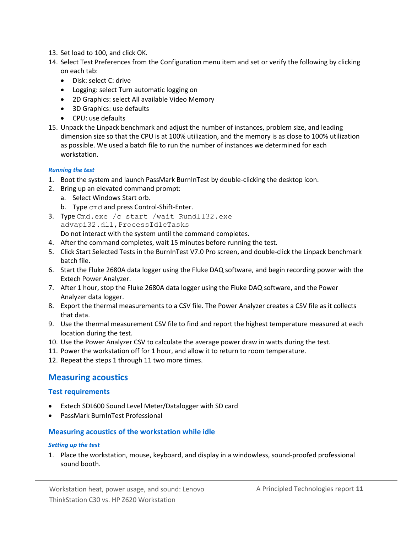- 13. Set load to 100, and click OK.
- 14. Select Test Preferences from the Configuration menu item and set or verify the following by clicking on each tab:
	- Disk: select C: drive
	- Logging: select Turn automatic logging on
	- 2D Graphics: select All available Video Memory
	- 3D Graphics: use defaults
	- CPU: use defaults
- 15. Unpack the Linpack benchmark and adjust the number of instances, problem size, and leading dimension size so that the CPU is at 100% utilization, and the memory is as close to 100% utilization as possible. We used a batch file to run the number of instances we determined for each workstation.

#### *Running the test*

- 1. Boot the system and launch PassMark BurnInTest by double-clicking the desktop icon.
- 2. Bring up an elevated command prompt:
	- a. Select Windows Start orb.
	- b. Type cmd and press Control-Shift-Enter.
- 3. Type Cmd.exe /c start /wait Rundll32.exe advapi32.dll,ProcessIdleTasks Do not interact with the system until the command completes.
- 4. After the command completes, wait 15 minutes before running the test.
- 5. Click Start Selected Tests in the BurnInTest V7.0 Pro screen, and double-click the Linpack benchmark batch file.
- 6. Start the Fluke 2680A data logger using the Fluke DAQ software, and begin recording power with the Extech Power Analyzer.
- 7. After 1 hour, stop the Fluke 2680A data logger using the Fluke DAQ software, and the Power Analyzer data logger.
- 8. Export the thermal measurements to a CSV file. The Power Analyzer creates a CSV file as it collects that data.
- 9. Use the thermal measurement CSV file to find and report the highest temperature measured at each location during the test.
- 10. Use the Power Analyzer CSV to calculate the average power draw in watts during the test.
- 11. Power the workstation off for 1 hour, and allow it to return to room temperature.
- 12. Repeat the steps 1 through 11 two more times.

#### **Measuring acoustics**

#### **Test requirements**

- Extech SDL600 Sound Level Meter/Datalogger with SD card
- PassMark BurnInTest Professional

#### **Measuring acoustics of the workstation while idle**

#### *Setting up the test*

1. Place the workstation, mouse, keyboard, and display in a windowless, sound-proofed professional sound booth.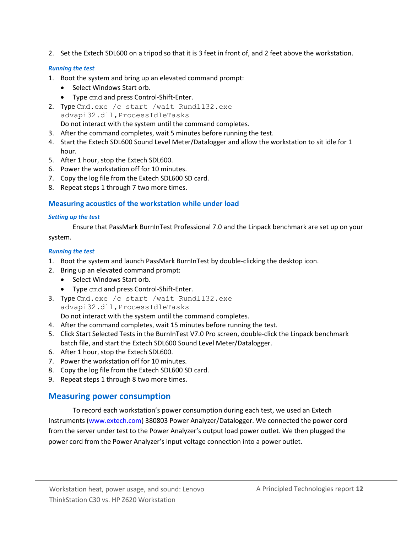2. Set the Extech SDL600 on a tripod so that it is 3 feet in front of, and 2 feet above the workstation.

#### *Running the test*

- 1. Boot the system and bring up an elevated command prompt:
	- Select Windows Start orb.
	- Type cmd and press Control-Shift-Enter.
- 2. Type Cmd.exe /c start /wait Rundll32.exe advapi32.dll,ProcessIdleTasks Do not interact with the system until the command completes.
- 3. After the command completes, wait 5 minutes before running the test.
- 4. Start the Extech SDL600 Sound Level Meter/Datalogger and allow the workstation to sit idle for 1 hour.
- 5. After 1 hour, stop the Extech SDL600.
- 6. Power the workstation off for 10 minutes.
- 7. Copy the log file from the Extech SDL600 SD card.
- 8. Repeat steps 1 through 7 two more times.

### **Measuring acoustics of the workstation while under load**

#### *Setting up the test*

Ensure that PassMark BurnInTest Professional 7.0 and the Linpack benchmark are set up on your system.

#### *Running the test*

- 1. Boot the system and launch PassMark BurnInTest by double-clicking the desktop icon.
- 2. Bring up an elevated command prompt:
	- Select Windows Start orb.
	- Type cmd and press Control-Shift-Enter.
- 3. Type Cmd.exe /c start /wait Rundll32.exe advapi32.dll,ProcessIdleTasks Do not interact with the system until the command completes.
- 4. After the command completes, wait 15 minutes before running the test.
- 5. Click Start Selected Tests in the BurnInTest V7.0 Pro screen, double-click the Linpack benchmark batch file, and start the Extech SDL600 Sound Level Meter/Datalogger.
- 6. After 1 hour, stop the Extech SDL600.
- 7. Power the workstation off for 10 minutes.
- 8. Copy the log file from the Extech SDL600 SD card.
- 9. Repeat steps 1 through 8 two more times.

### **Measuring power consumption**

To record each workstation's power consumption during each test, we used an Extech Instruments [\(www.extech.com\)](http://www.extech.com/) 380803 Power Analyzer/Datalogger. We connected the power cord from the server under test to the Power Analyzer's output load power outlet. We then plugged the power cord from the Power Analyzer's input voltage connection into a power outlet.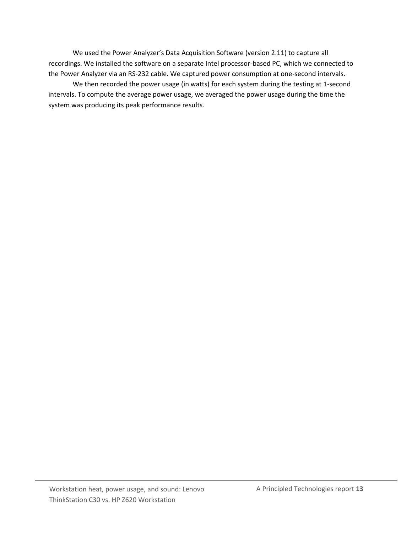We used the Power Analyzer's Data Acquisition Software (version 2.11) to capture all recordings. We installed the software on a separate Intel processor-based PC, which we connected to the Power Analyzer via an RS-232 cable. We captured power consumption at one-second intervals.

We then recorded the power usage (in watts) for each system during the testing at 1-second intervals. To compute the average power usage, we averaged the power usage during the time the system was producing its peak performance results.